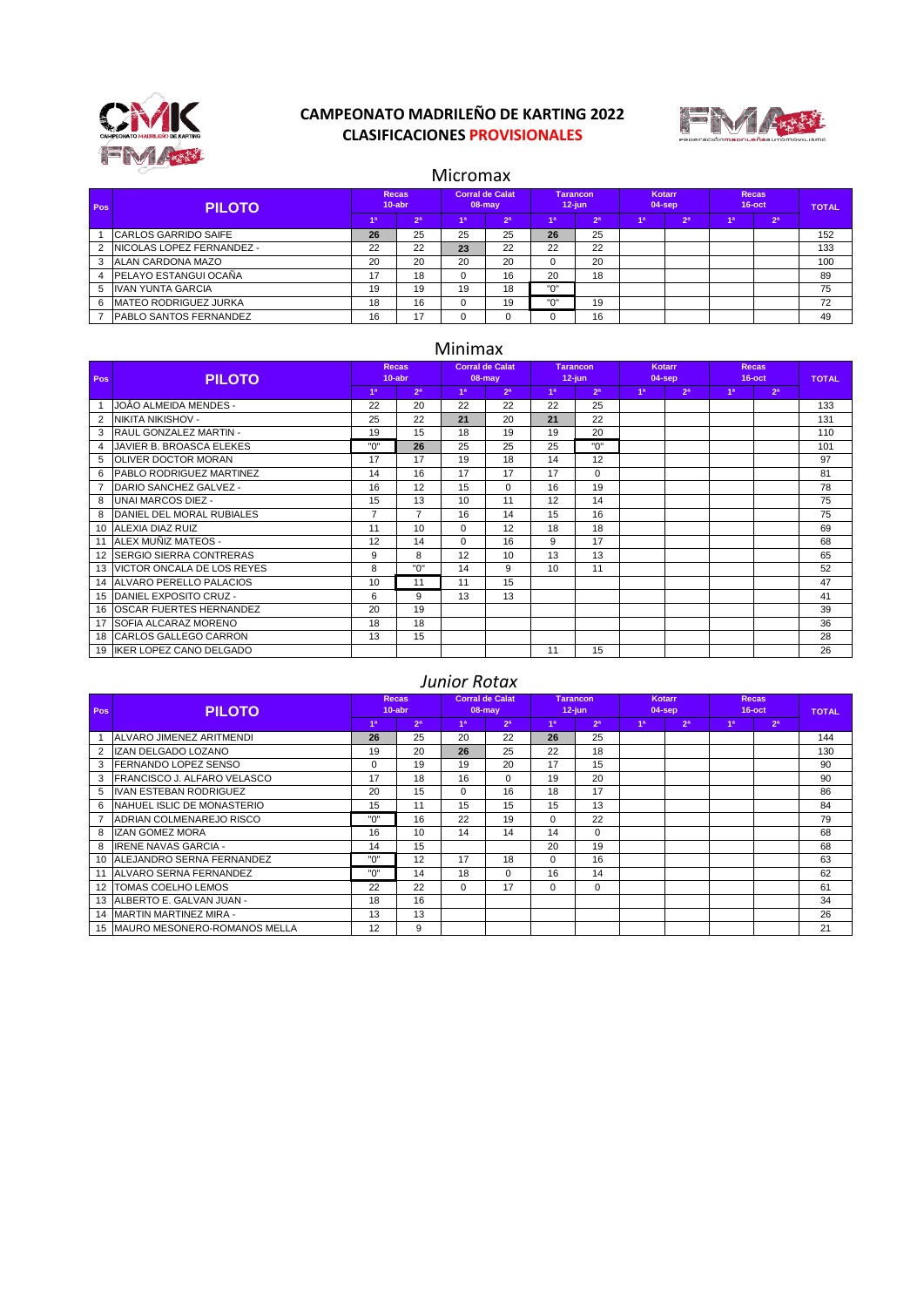

# **CAMPEONATO MADRILEÑO DE KARTING 2022 CLASIFICACIONES PROVISIONALES**



### Micromax

| Pos | <b>PILOTO</b>                 | <b>Recas</b><br>$10$ -abr |                | <b>Corral de Calat</b><br>08-may |                | <b>Tarancon</b><br>$12$ -iun |                | Kotarr<br>$04$ -sep |                | <b>Recas</b><br>$16$ -oct |                | <b>TOTAL</b> |
|-----|-------------------------------|---------------------------|----------------|----------------------------------|----------------|------------------------------|----------------|---------------------|----------------|---------------------------|----------------|--------------|
|     |                               | 4a                        | 2 <sup>a</sup> | 1a                               | 2 <sup>a</sup> | 1 <sup>a</sup>               | 2 <sup>a</sup> | 1 <sup>a</sup>      | 2 <sup>a</sup> | 4a                        | 2 <sup>a</sup> |              |
|     | <b>CARLOS GARRIDO SAIFE</b>   | 26                        | 25             | 25                               | 25             | 26                           | 25             |                     |                |                           |                | 152          |
|     | INICOLAS LOPEZ FERNANDEZ -    | 22                        | 22             | 23                               | 22             | 22                           | 22             |                     |                |                           |                | 133          |
|     | ALAN CARDONA MAZO             | 20                        | 20             | 20                               | 20             | $\Omega$                     | 20             |                     |                |                           |                | 100          |
|     | <b>PELAYO ESTANGUI OCAÑA</b>  | 17                        | 18             |                                  | 16             | 20                           | 18             |                     |                |                           |                | 89           |
|     | <b>IIVAN YUNTA GARCIA</b>     | 19                        | 19             | 19                               | 18             | "0"                          |                |                     |                |                           |                | 75           |
| 6   | <b>MATEO RODRIGUEZ JURKA</b>  | 18                        | 16             |                                  | 19             | "0"                          | 19             |                     |                |                           |                | 72           |
|     | <b>PABLO SANTOS FERNANDEZ</b> | 16                        | 17             |                                  |                |                              | 16             |                     |                |                           |                | 49           |

## Minimax

| Pos            | <b>PILOTO</b>                  |                | <b>Recas</b><br>$10$ -abr |                | <b>Corral de Calat</b><br>$08 - may$ |                | <b>Tarancon</b><br>$12$ -jun | Kotarr<br>$04$ -sep |                | <b>Recas</b><br>$16$ -oct |                | <b>TOTAL</b> |
|----------------|--------------------------------|----------------|---------------------------|----------------|--------------------------------------|----------------|------------------------------|---------------------|----------------|---------------------------|----------------|--------------|
|                |                                | 1 <sup>a</sup> | 2 <sup>a</sup>            | 1 <sup>a</sup> | 2 <sup>a</sup>                       | 1 <sup>a</sup> | 2 <sup>a</sup>               | 1 <sup>a</sup>      | 2 <sup>a</sup> | 1 <sup>a</sup>            | 2 <sup>a</sup> |              |
|                | IJOÂO ALMEIDA MENDES -         | 22             | 20                        | 22             | 22                                   | 22             | 25                           |                     |                |                           |                | 133          |
| $\overline{2}$ | INIKITA NIKISHOV -             | 25             | 22                        | 21             | 20                                   | 21             | 22                           |                     |                |                           |                | 131          |
| 3              | RAUL GONZALEZ MARTIN -         | 19             | 15                        | 18             | 19                                   | 19             | 20                           |                     |                |                           |                | 110          |
| $\overline{4}$ | JAVIER B. BROASCA ELEKES       | "0"            | 26                        | 25             | 25                                   | 25             | "በ"                          |                     |                |                           |                | 101          |
| 5              | <b>OLIVER DOCTOR MORAN</b>     | 17             | 17                        | 19             | 18                                   | 14             | 12                           |                     |                |                           |                | 97           |
| 6              | PABLO RODRIGUEZ MARTINEZ       | 14             | 16                        | 17             | 17                                   | 17             | $\Omega$                     |                     |                |                           |                | 81           |
|                | DARIO SANCHEZ GALVEZ -         | 16             | 12                        | 15             | $\Omega$                             | 16             | 19                           |                     |                |                           |                | 78           |
| 8              | UNAI MARCOS DIEZ -             | 15             | 13                        | 10             | 11                                   | 12             | 14                           |                     |                |                           |                | 75           |
| 8              | DANIEL DEL MORAL RUBIALES      | $\overline{7}$ | $\overline{7}$            | 16             | 14                                   | 15             | 16                           |                     |                |                           |                | 75           |
| 10             | ALEXIA DIAZ RUIZ               | 11             | 10                        | $\Omega$       | 12                                   | 18             | 18                           |                     |                |                           |                | 69           |
| 11             | ALEX MUÑIZ MATEOS -            | 12             | 14                        | $\Omega$       | 16                                   | 9              | 17                           |                     |                |                           |                | 68           |
| 12             | <b>SERGIO SIERRA CONTRERAS</b> | 9              | 8                         | 12             | 10                                   | 13             | 13                           |                     |                |                           |                | 65           |
| 13             | IVICTOR ONCALA DE LOS REYES    | 8              | "0"                       | 14             | 9                                    | 10             | 11                           |                     |                |                           |                | 52           |
| 14             | <b>ALVARO PERELLO PALACIOS</b> | 10             | 11                        | 11             | 15                                   |                |                              |                     |                |                           |                | 47           |
| 15             | DANIEL EXPOSITO CRUZ -         | 6              | 9                         | 13             | 13                                   |                |                              |                     |                |                           |                | 41           |
| 16             | <b>OSCAR FUERTES HERNANDEZ</b> | 20             | 19                        |                |                                      |                |                              |                     |                |                           |                | 39           |
| 17             | <b>SOFIA ALCARAZ MORENO</b>    | 18             | 18                        |                |                                      |                |                              |                     |                |                           |                | 36           |
| 18             | <b>CARLOS GALLEGO CARRON</b>   | 13             | 15                        |                |                                      |                |                              |                     |                |                           |                | 28           |
| 19             | <b>IKER LOPEZ CANO DELGADO</b> |                |                           |                |                                      | 11             | 15                           |                     |                |                           |                | 26           |

#### *Junior Rotax*

| Pos | <b>PILOTO</b>                    |                | <b>Recas</b><br>$10$ -abr |                | <b>Corral de Calat</b><br>$08 - may$ |                | <b>Tarancon</b><br>$12$ -jun |                | Kotarr<br>$04$ -sep | <b>Recas</b><br>$16$ -oct |                | <b>TOTAL</b> |
|-----|----------------------------------|----------------|---------------------------|----------------|--------------------------------------|----------------|------------------------------|----------------|---------------------|---------------------------|----------------|--------------|
|     |                                  | 1 <sup>a</sup> | 2 <sup>a</sup>            | 1 <sup>a</sup> | 2 <sup>a</sup>                       | 1 <sup>a</sup> | 2 <sup>a</sup>               | 1 <sup>a</sup> | 2 <sup>a</sup>      | 1 <sup>a</sup>            | 2 <sup>a</sup> |              |
|     | ALVARO JIMENEZ ARITMENDI         | 26             | 25                        | 20             | 22                                   | 26             | 25                           |                |                     |                           |                | 144          |
| 2   | IZAN DELGADO LOZANO              | 19             | 20                        | 26             | 25                                   | 22             | 18                           |                |                     |                           |                | 130          |
| 3   | <b>IFERNANDO LOPEZ SENSO</b>     | 0              | 19                        | 19             | 20                                   | 17             | 15                           |                |                     |                           |                | 90           |
| 3   | IFRANCISCO J. ALFARO VELASCO     | 17             | 18                        | 16             | $\Omega$                             | 19             | 20                           |                |                     |                           |                | 90           |
| 5   | IVAN ESTEBAN RODRIGUEZ           | 20             | 15                        | $\Omega$       | 16                                   | 18             | 17                           |                |                     |                           |                | 86           |
| 6   | NAHUEL ISLIC DE MONASTERIO       | 15             | 11                        | 15             | 15                                   | 15             | 13                           |                |                     |                           |                | 84           |
|     | ADRIAN COLMENAREJO RISCO         | "በ"            | 16                        | 22             | 19                                   | $\Omega$       | 22                           |                |                     |                           |                | 79           |
| 8   | <b>IZAN GOMEZ MORA</b>           | 16             | 10                        | 14             | 14                                   | 14             | $\Omega$                     |                |                     |                           |                | 68           |
| 8   | <b>IRENE NAVAS GARCIA -</b>      | 14             | 15                        |                |                                      | 20             | 19                           |                |                     |                           |                | 68           |
| 10  | <b>ALEJANDRO SERNA FERNANDEZ</b> | "0"            | 12                        | 17             | 18                                   | $\Omega$       | 16                           |                |                     |                           |                | 63           |
| 11  | <b>ALVARO SERNA FERNANDEZ</b>    | "በ"            | 14                        | 18             | $\Omega$                             | 16             | 14                           |                |                     |                           |                | 62           |
|     | 12   TOMAS COELHO LEMOS          | 22             | 22                        | $\Omega$       | 17                                   | $\Omega$       | $\Omega$                     |                |                     |                           |                | 61           |
|     | 13 ALBERTO E. GALVAN JUAN -      | 18             | 16                        |                |                                      |                |                              |                |                     |                           |                | 34           |
|     | 14 MARTIN MARTINEZ MIRA -        | 13             | 13                        |                |                                      |                |                              |                |                     |                           |                | 26           |
|     | 15 IMAURO MESONERO-ROMANOS MELLA | 12             | 9                         |                |                                      |                |                              |                |                     |                           |                | 21           |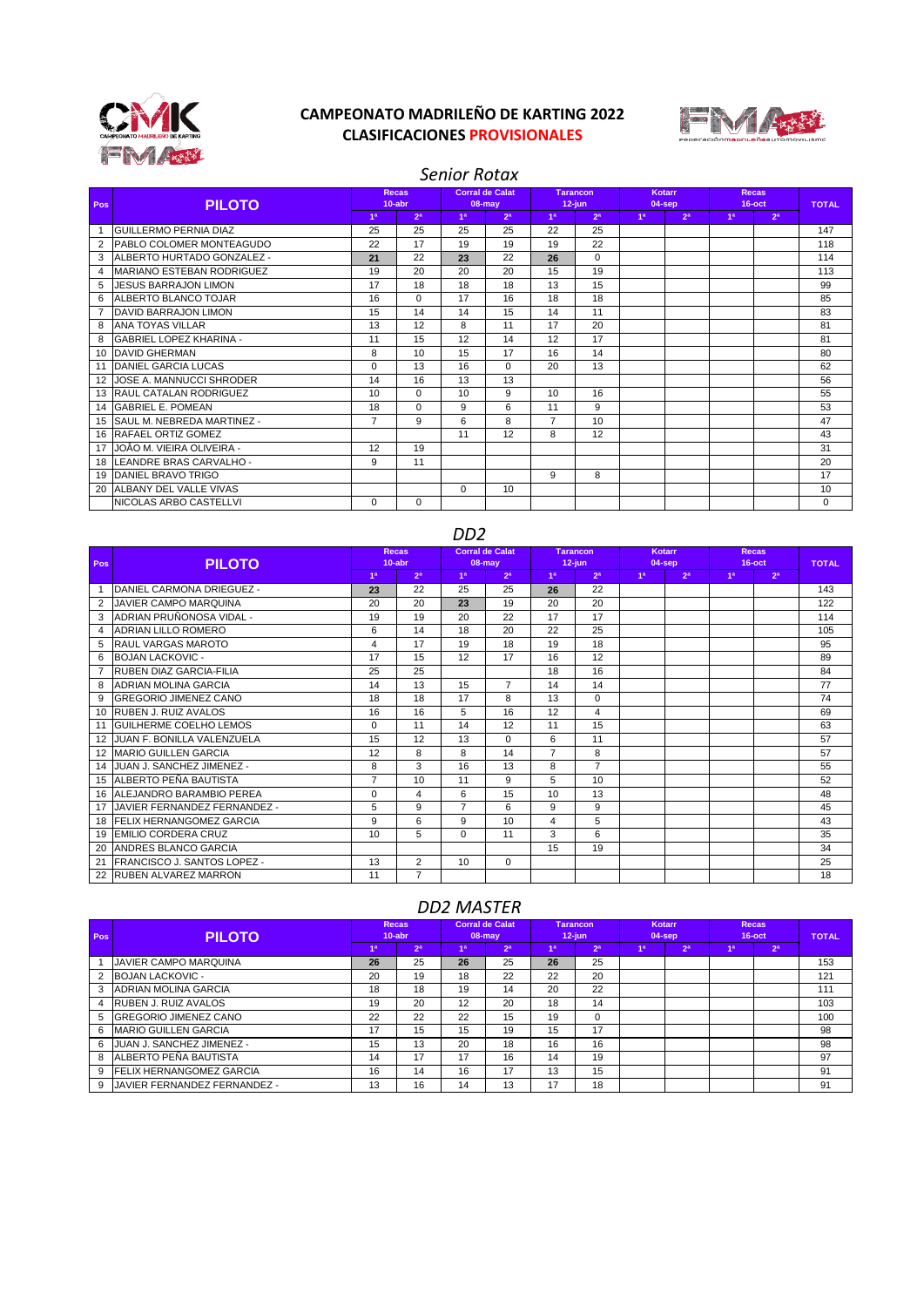

# **CAMPEONATO MADRILEÑO DE KARTING 2022 CLASIFICACIONES PROVISIONALES**



## *Senior Rotax*

| Pos            | <b>PILOTO</b>                   |                 | <b>Recas</b><br>$10$ -abr |          | <b>Corral de Calat</b><br>$08 - may$ |                | <b>Tarancon</b><br>$12$ -jun |                | Kotarr<br>$04$ -sep | <b>Recas</b><br>$16$ -oct |                | <b>TOTAL</b> |
|----------------|---------------------------------|-----------------|---------------------------|----------|--------------------------------------|----------------|------------------------------|----------------|---------------------|---------------------------|----------------|--------------|
|                |                                 | 1 <sup>a</sup>  | 2 <sup>a</sup>            | 1a       | 2 <sup>a</sup>                       | 1 <sup>a</sup> | 2 <sup>a</sup>               | 1 <sup>a</sup> | 2 <sup>a</sup>      | 4a                        | 2 <sup>a</sup> |              |
|                | <b>GUILLERMO PERNIA DIAZ</b>    | 25              | 25                        | 25       | 25                                   | 22             | 25                           |                |                     |                           |                | 147          |
| 2              | <b>PABLO COLOMER MONTEAGUDO</b> | 22              | 17                        | 19       | 19                                   | 19             | 22                           |                |                     |                           |                | 118          |
| 3              | ALBERTO HURTADO GONZALEZ -      | 21              | 22                        | 23       | 22                                   | 26             | $\Omega$                     |                |                     |                           |                | 114          |
| 4              | IMARIANO ESTEBAN RODRIGUEZ      | 19              | 20                        | 20       | 20                                   | 15             | 19                           |                |                     |                           |                | 113          |
| 5              | <b>JESUS BARRAJON LIMON</b>     | 17              | 18                        | 18       | 18                                   | 13             | 15                           |                |                     |                           |                | 99           |
| 6              | <b>ALBERTO BLANCO TOJAR</b>     | 16              | $\Omega$                  | 17       | 16                                   | 18             | 18                           |                |                     |                           |                | 85           |
| $\overline{7}$ | DAVID BARRAJON LIMON            | 15              | 14                        | 14       | 15                                   | 14             | 11                           |                |                     |                           |                | 83           |
| 8              | <b>ANA TOYAS VILLAR</b>         | 13              | 12                        | 8        | 11                                   | 17             | 20                           |                |                     |                           |                | 81           |
| 8              | <b>GABRIEL LOPEZ KHARINA -</b>  | 11              | 15                        | 12       | 14                                   | 12             | 17                           |                |                     |                           |                | 81           |
| 10             | <b>DAVID GHERMAN</b>            | 8               | 10                        | 15       | 17                                   | 16             | 14                           |                |                     |                           |                | 80           |
| 11             | <b>DANIEL GARCIA LUCAS</b>      | $\mathbf 0$     | 13                        | 16       | $\Omega$                             | 20             | 13                           |                |                     |                           |                | 62           |
|                | <b>JOSE A. MANNUCCI SHRODER</b> | 14              | 16                        | 13       | 13                                   |                |                              |                |                     |                           |                | 56           |
| 1.3            | <b>RAUL CATALAN RODRIGUEZ</b>   | 10 <sup>1</sup> | $\Omega$                  | 10       | 9                                    | 10             | 16                           |                |                     |                           |                | 55           |
| 14             | <b>GABRIEL E. POMEAN</b>        | 18              | $\mathbf 0$               | 9        | 6                                    | 11             | 9                            |                |                     |                           |                | 53           |
| 15             | SAUL M. NEBREDA MARTINEZ -      | $\overline{7}$  | 9                         | 6        | 8                                    | $\overline{7}$ | 10                           |                |                     |                           |                | 47           |
| 16             | <b>RAFAEL ORTIZ GOMEZ</b>       |                 |                           | 11       | 12                                   | 8              | 12                           |                |                     |                           |                | 43           |
| 17             | IJOÂO M. VIEIRA OLIVEIRA -      | 12              | 19                        |          |                                      |                |                              |                |                     |                           |                | 31           |
| 18             | LEANDRE BRAS CARVALHO -         | 9               | 11                        |          |                                      |                |                              |                |                     |                           |                | 20           |
| 19             | <b>DANIEL BRAVO TRIGO</b>       |                 |                           |          |                                      | 9              | 8                            |                |                     |                           |                | 17           |
| 20             | <b>ALBANY DEL VALLE VIVAS</b>   |                 |                           | $\Omega$ | 10                                   |                |                              |                |                     |                           |                | 10           |
|                | INICOLAS ARBO CASTELLVI         | $\Omega$        | $\mathbf 0$               |          |                                      |                |                              |                |                     |                           |                | 0            |

|                | <b>DDZ</b>                        |                |                     |                |                                      |                |                              |    |                  |                     |                |              |  |  |
|----------------|-----------------------------------|----------------|---------------------|----------------|--------------------------------------|----------------|------------------------------|----|------------------|---------------------|----------------|--------------|--|--|
| Pos            | <b>PILOTO</b>                     |                | Recas.<br>$10$ -abr |                | <b>Corral de Calat</b><br>$08 - may$ |                | <b>Tarancon</b><br>$12$ -iun |    | Kotarr<br>04-sep | Recas.<br>$16$ -oct |                | <b>TOTAL</b> |  |  |
|                |                                   | 1 <sup>a</sup> | 2 <sup>a</sup>      | 1 <sup>a</sup> | 2 <sup>a</sup>                       | 1 <sup>a</sup> | 2 <sup>a</sup>               | 1a | 2 <sup>a</sup>   | 1a                  | 2 <sup>a</sup> |              |  |  |
| 1              | <b>IDANIEL CARMONA DRIEGUEZ -</b> | 23             | 22                  | 25             | 25                                   | 26             | 22                           |    |                  |                     |                | 143          |  |  |
| 2              | <b>JAVIER CAMPO MARQUINA</b>      | 20             | 20                  | 23             | 19                                   | 20             | 20                           |    |                  |                     |                | 122          |  |  |
| $\mathcal{R}$  | ADRIAN PRUÑONOSA VIDAL -          | 19             | 19                  | 20             | 22                                   | 17             | 17                           |    |                  |                     |                | 114          |  |  |
| 4              | <b>ADRIAN LILLO ROMERO</b>        | 6              | 14                  | 18             | 20                                   | 22             | 25                           |    |                  |                     |                | 105          |  |  |
| 5              | IRAUL VARGAS MAROTO               | 4              | 17                  | 19             | 18                                   | 19             | 18                           |    |                  |                     |                | 95           |  |  |
| 6              | <b>BOJAN LACKOVIC -</b>           | 17             | 15                  | 12             | 17                                   | 16             | 12                           |    |                  |                     |                | 89           |  |  |
| $\overline{7}$ | <b>RUBEN DIAZ GARCIA-FILIA</b>    | 25             | 25                  |                |                                      | 18             | 16                           |    |                  |                     |                | 84           |  |  |
| 8              | ADRIAN MOLINA GARCIA              | 14             | 13                  | 15             | $\overline{7}$                       | 14             | 14                           |    |                  |                     |                | 77           |  |  |
| 9              | <b>GREGORIO JIMENEZ CANO</b>      | 18             | 18                  | 17             | 8                                    | 13             | 0                            |    |                  |                     |                | 74           |  |  |
| 10             | <b>RUBEN J. RUIZ AVALOS</b>       | 16             | 16                  | 5              | 16                                   | 12             | 4                            |    |                  |                     |                | 69           |  |  |
| 11             | GUILHERME COELHO LEMOS            | $\Omega$       | 11                  | 14             | 12                                   | 11             | 15                           |    |                  |                     |                | 63           |  |  |
| 12             | <b>JUAN F. BONILLA VALENZUELA</b> | 15             | 12                  | 13             | $\Omega$                             | 6              | 11                           |    |                  |                     |                | 57           |  |  |
| 12             | <b>IMARIO GUILLEN GARCIA</b>      | 12             | 8                   | 8              | 14                                   | $\overline{7}$ | 8                            |    |                  |                     |                | 57           |  |  |
| 14             | JUAN J. SANCHEZ JIMENEZ -         | 8              | 3                   | 16             | 13                                   | 8              | $\overline{7}$               |    |                  |                     |                | 55           |  |  |
|                | 15 ALBERTO PEÑA BAUTISTA          | $\overline{7}$ | 10                  | 11             | 9                                    | 5              | 10                           |    |                  |                     |                | 52           |  |  |
|                | 16 ALEJANDRO BARAMBIO PEREA       | 0              | 4                   | 6              | 15                                   | 10             | 13                           |    |                  |                     |                | 48           |  |  |
| 17             | JAVIER FERNANDEZ FERNANDEZ -      | 5              | 9                   | $\overline{7}$ | 6                                    | 9              | 9                            |    |                  |                     |                | 45           |  |  |
| 18             | FELIX HERNANGOMEZ GARCIA          | 9              | 6                   | 9              | 10                                   | 4              | 5                            |    |                  |                     |                | 43           |  |  |
| 19             | EMILIO CORDERA CRUZ               | 10             | 5                   | $\Omega$       | 11                                   | 3              | 6                            |    |                  |                     |                | 35           |  |  |
| 20             | <b>ANDRES BLANCO GARCIA</b>       |                |                     |                |                                      | 15             | 19                           |    |                  |                     |                | 34           |  |  |
| 21             | FRANCISCO J. SANTOS LOPEZ -       | 13             | $\overline{2}$      | 10             | $\Omega$                             |                |                              |    |                  |                     |                | 25           |  |  |
| 22             | <b>RUBEN ALVAREZ MARRON</b>       | 11             | $\overline{7}$      |                |                                      |                |                              |    |                  |                     |                | 18           |  |  |

### *DD2 MASTER*

| Pos | <b>PILOTO</b>                    | <b>Recas</b><br>$10$ -abr |                | Corral de Calat<br>$08 - may$ |                | Tarancon<br>$12$ -jun |                | Kotarr<br>$04$ -sep |                | <b>Recas</b><br>$16$ -oct |                | <b>TOTAL</b> |
|-----|----------------------------------|---------------------------|----------------|-------------------------------|----------------|-----------------------|----------------|---------------------|----------------|---------------------------|----------------|--------------|
|     |                                  | 1 <sup>a</sup>            | 2 <sup>a</sup> | 1 <sup>a</sup>                | 2 <sup>a</sup> | 1 <sup>a</sup>        | 2 <sup>a</sup> | 1 <sup>a</sup>      | 2 <sup>a</sup> | 1a                        | 2 <sup>a</sup> |              |
|     | IJAVIER CAMPO MARQUINA           | 26                        | 25             | 26                            | 25             | 26                    | 25             |                     |                |                           |                | 153          |
|     | <b>BOJAN LACKOVIC -</b>          | 20                        | 19             | 18                            | 22             | 22                    | 20             |                     |                |                           |                | 121          |
|     | ADRIAN MOLINA GARCIA             | 18                        | 18             | 19                            | 14             | 20                    | 22             |                     |                |                           |                | 111          |
| 4   | <b>RUBEN J. RUIZ AVALOS</b>      | 19                        | 20             | 12                            | 20             | 18                    | 14             |                     |                |                           |                | 103          |
| 5   | <b>GREGORIO JIMENEZ CANO</b>     | 22                        | 22             | 22                            | 15             | 19                    | 0              |                     |                |                           |                | 100          |
| 6   | <b>MARIO GUILLEN GARCIA</b>      | 17                        | 15             | 15                            | 19             | 15                    | 17             |                     |                |                           |                | 98           |
| 6   | IJUAN J. SANCHEZ JIMENEZ -       | 15                        | 13             | 20                            | 18             | 16                    | 16             |                     |                |                           |                | 98           |
| 8   | <b>ALBERTO PEÑA BAUTISTA</b>     | 14                        | 17             | 17                            | 16             | 14                    | 19             |                     |                |                           |                | 97           |
| 9   | <b>IFELIX HERNANGOMEZ GARCIA</b> | 16                        | 14             | 16                            | 17             | 13                    | 15             |                     |                |                           |                | 91           |
| 9   | IJAVIER FERNANDEZ FERNANDEZ -    | 13                        | 16             | 14                            | 13             | 17                    | 18             |                     |                |                           |                | 91           |

## *DD2*